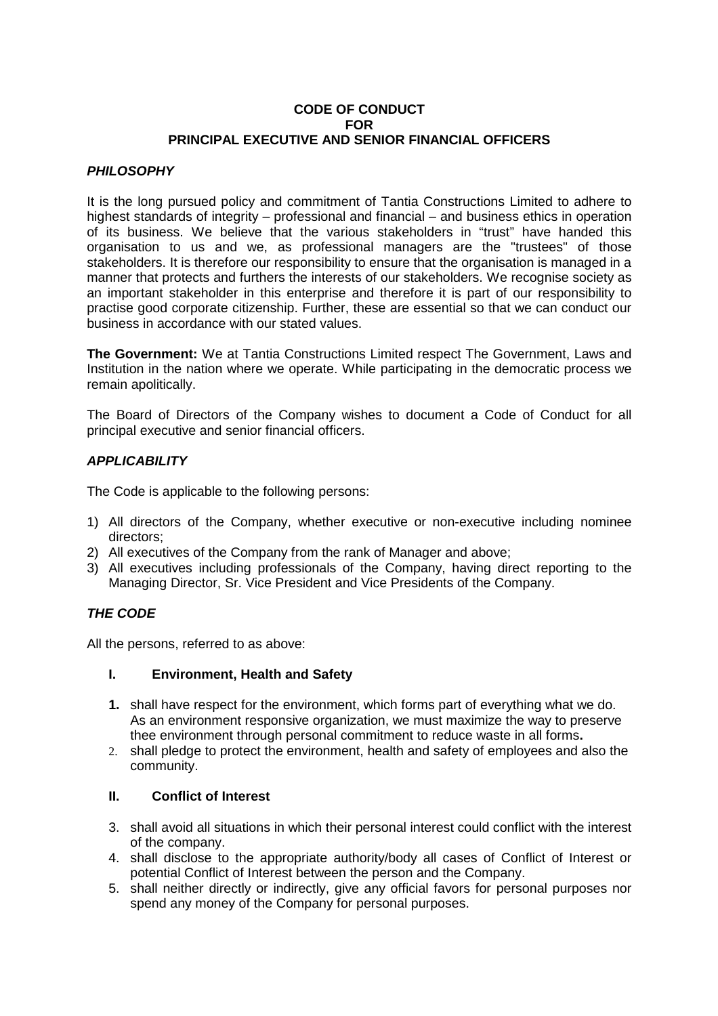## **CODE OF CONDUCT FOR PRINCIPAL EXECUTIVE AND SENIOR FINANCIAL OFFICERS**

## *PHILOSOPHY*

It is the long pursued policy and commitment of Tantia Constructions Limited to adhere to highest standards of integrity – professional and financial – and business ethics in operation of its business. We believe that the various stakeholders in "trust" have handed this organisation to us and we, as professional managers are the "trustees" of those stakeholders. It is therefore our responsibility to ensure that the organisation is managed in a manner that protects and furthers the interests of our stakeholders. We recognise society as an important stakeholder in this enterprise and therefore it is part of our responsibility to practise good corporate citizenship. Further, these are essential so that we can conduct our business in accordance with our stated values.

**The Government:** We at Tantia Constructions Limited respect The Government, Laws and Institution in the nation where we operate. While participating in the democratic process we remain apolitically.

The Board of Directors of the Company wishes to document a Code of Conduct for all principal executive and senior financial officers.

## *APPLICABILITY*

The Code is applicable to the following persons:

- 1) All directors of the Company, whether executive or non-executive including nominee directors;
- 2) All executives of the Company from the rank of Manager and above;
- 3) All executives including professionals of the Company, having direct reporting to the Managing Director, Sr. Vice President and Vice Presidents of the Company.

## *THE CODE*

All the persons, referred to as above:

## **I. Environment, Health and Safety**

- **1.** shall have respect for the environment, which forms part of everything what we do. As an environment responsive organization, we must maximize the way to preserve thee environment through personal commitment to reduce waste in all forms**.**
- 2. shall pledge to protect the environment, health and safety of employees and also the community.

## **II. Conflict of Interest**

- 3. shall avoid all situations in which their personal interest could conflict with the interest of the company.
- 4. shall disclose to the appropriate authority/body all cases of Conflict of Interest or potential Conflict of Interest between the person and the Company.
- 5. shall neither directly or indirectly, give any official favors for personal purposes nor spend any money of the Company for personal purposes.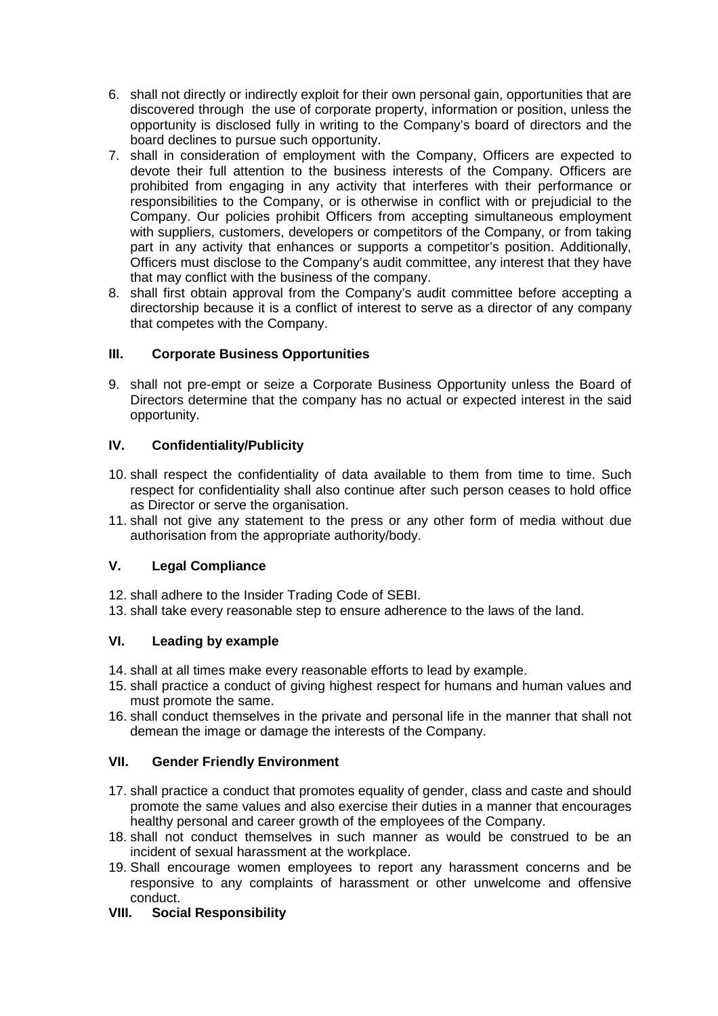- 6. shall not directly or indirectly exploit for their own personal gain, opportunities that are discovered through the use of corporate property, information or position, unless the opportunity is disclosed fully in writing to the Company's board of directors and the board declines to pursue such opportunity.
- 7. shall in consideration of employment with the Company, Officers are expected to devote their full attention to the business interests of the Company. Officers are prohibited from engaging in any activity that interferes with their performance or responsibilities to the Company, or is otherwise in conflict with or prejudicial to the Company. Our policies prohibit Officers from accepting simultaneous employment with suppliers, customers, developers or competitors of the Company, or from taking part in any activity that enhances or supports a competitor's position. Additionally, Officers must disclose to the Company's audit committee, any interest that they have that may conflict with the business of the company.
- 8. shall first obtain approval from the Company's audit committee before accepting a directorship because it is a conflict of interest to serve as a director of any company that competes with the Company.

# **III. Corporate Business Opportunities**

9. shall not pre-empt or seize a Corporate Business Opportunity unless the Board of Directors determine that the company has no actual or expected interest in the said opportunity.

# **IV. Confidentiality/Publicity**

- 10. shall respect the confidentiality of data available to them from time to time. Such respect for confidentiality shall also continue after such person ceases to hold office as Director or serve the organisation.
- 11. shall not give any statement to the press or any other form of media without due authorisation from the appropriate authority/body.

# **V. Legal Compliance**

- 12. shall adhere to the Insider Trading Code of SEBI.
- 13. shall take every reasonable step to ensure adherence to the laws of the land.

# **VI. Leading by example**

- 14. shall at all times make every reasonable efforts to lead by example.
- 15. shall practice a conduct of giving highest respect for humans and human values and must promote the same.
- 16. shall conduct themselves in the private and personal life in the manner that shall not demean the image or damage the interests of the Company.

# **VII. Gender Friendly Environment**

- 17. shall practice a conduct that promotes equality of gender, class and caste and should promote the same values and also exercise their duties in a manner that encourages healthy personal and career growth of the employees of the Company.
- 18. shall not conduct themselves in such manner as would be construed to be an incident of sexual harassment at the workplace.
- 19. Shall encourage women employees to report any harassment concerns and be responsive to any complaints of harassment or other unwelcome and offensive conduct.

# **VIII. Social Responsibility**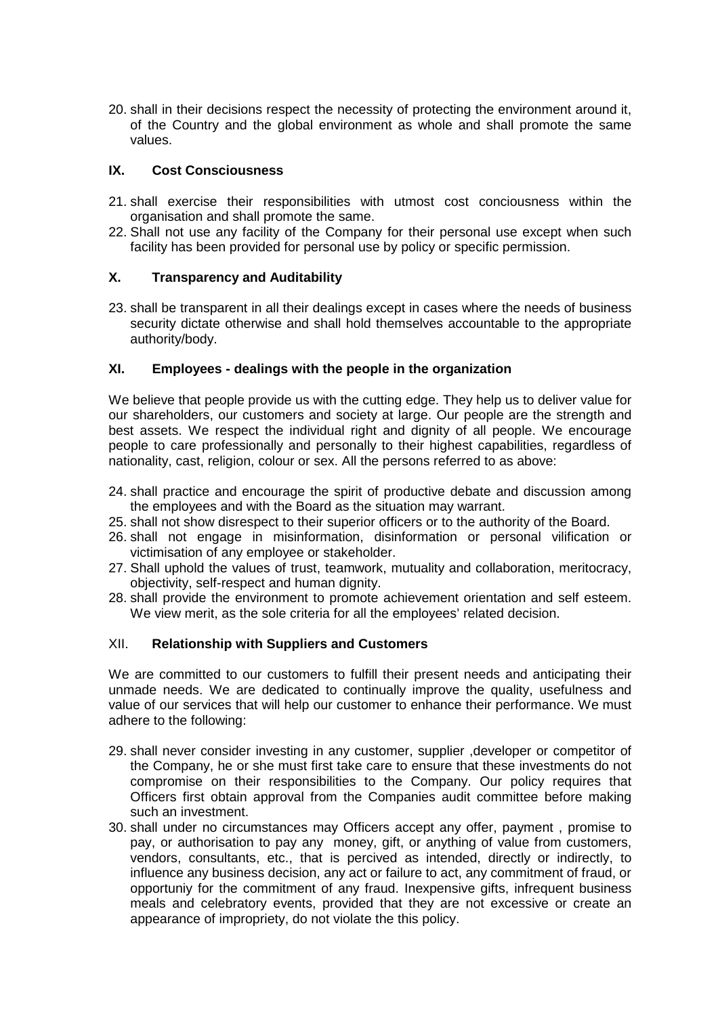20. shall in their decisions respect the necessity of protecting the environment around it, of the Country and the global environment as whole and shall promote the same values.

## **IX. Cost Consciousness**

- 21. shall exercise their responsibilities with utmost cost conciousness within the organisation and shall promote the same.
- 22. Shall not use any facility of the Company for their personal use except when such facility has been provided for personal use by policy or specific permission.

## **X. Transparency and Auditability**

23. shall be transparent in all their dealings except in cases where the needs of business security dictate otherwise and shall hold themselves accountable to the appropriate authority/body.

## **XI. Employees - dealings with the people in the organization**

We believe that people provide us with the cutting edge. They help us to deliver value for our shareholders, our customers and society at large. Our people are the strength and best assets. We respect the individual right and dignity of all people. We encourage people to care professionally and personally to their highest capabilities, regardless of nationality, cast, religion, colour or sex. All the persons referred to as above:

- 24. shall practice and encourage the spirit of productive debate and discussion among the employees and with the Board as the situation may warrant.
- 25. shall not show disrespect to their superior officers or to the authority of the Board.
- 26. shall not engage in misinformation, disinformation or personal vilification or victimisation of any employee or stakeholder.
- 27. Shall uphold the values of trust, teamwork, mutuality and collaboration, meritocracy, objectivity, self-respect and human dignity.
- 28. shall provide the environment to promote achievement orientation and self esteem. We view merit, as the sole criteria for all the employees' related decision.

## XII. **Relationship with Suppliers and Customers**

We are committed to our customers to fulfill their present needs and anticipating their unmade needs. We are dedicated to continually improve the quality, usefulness and value of our services that will help our customer to enhance their performance. We must adhere to the following:

- 29. shall never consider investing in any customer, supplier ,developer or competitor of the Company, he or she must first take care to ensure that these investments do not compromise on their responsibilities to the Company. Our policy requires that Officers first obtain approval from the Companies audit committee before making such an investment.
- 30. shall under no circumstances may Officers accept any offer, payment , promise to pay, or authorisation to pay any money, gift, or anything of value from customers, vendors, consultants, etc., that is percived as intended, directly or indirectly, to influence any business decision, any act or failure to act, any commitment of fraud, or opportuniy for the commitment of any fraud. Inexpensive gifts, infrequent business meals and celebratory events, provided that they are not excessive or create an appearance of impropriety, do not violate the this policy.